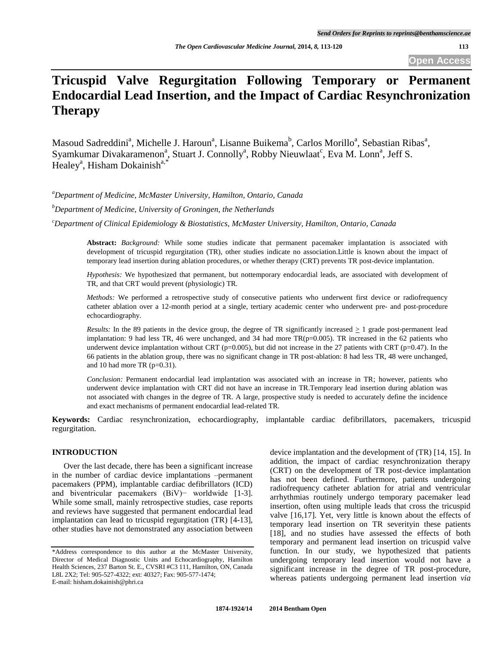# **Tricuspid Valve Regurgitation Following Temporary or Permanent Endocardial Lead Insertion, and the Impact of Cardiac Resynchronization Therapy**

Masoud Sadreddini<sup>a</sup>, Michelle J. Haroun<sup>a</sup>, Lisanne Buikema<sup>b</sup>, Carlos Morillo<sup>a</sup>, Sebastian Ribas<sup>a</sup>, Syamkumar Divakaramenon<sup>a</sup>, Stuart J. Connolly<sup>a</sup>, Robby Nieuwlaat<sup>c</sup>, Eva M. Lonn<sup>a</sup>, Jeff S. Healey<sup>a</sup>, Hisham Dokainish<sup>a,\*</sup>

*<sup>a</sup>Department of Medicine, McMaster University, Hamilton, Ontario, Canada* 

*<sup>b</sup>Department of Medicine, University of Groningen, the Netherlands* 

*<sup>c</sup>Department of Clinical Epidemiology & Biostatistics, McMaster University, Hamilton, Ontario, Canada* 

**Abstract:** *Background:* While some studies indicate that permanent pacemaker implantation is associated with development of tricuspid regurgitation (TR), other studies indicate no association.Little is known about the impact of temporary lead insertion during ablation procedures, or whether therapy (CRT) prevents TR post-device implantation.

*Hypothesis:* We hypothesized that permanent, but nottemporary endocardial leads, are associated with development of TR, and that CRT would prevent (physiologic) TR.

*Methods:* We performed a retrospective study of consecutive patients who underwent first device or radiofrequency catheter ablation over a 12-month period at a single, tertiary academic center who underwent pre- and post-procedure echocardiography.

*Results:* In the 89 patients in the device group, the degree of TR significantly increased > 1 grade post-permanent lead implantation: 9 had less TR, 46 were unchanged, and 34 had more  $TR(p=0.005)$ . TR increased in the 62 patients who underwent device implantation without CRT ( $p=0.005$ ), but did not increase in the 27 patients with CRT ( $p=0.47$ ). In the 66 patients in the ablation group, there was no significant change in TR post-ablation: 8 had less TR, 48 were unchanged, and 10 had more TR  $(p=0.31)$ .

*Conclusion:* Permanent endocardial lead implantation was associated with an increase in TR; however, patients who underwent device implantation with CRT did not have an increase in TR.Temporary lead insertion during ablation was not associated with changes in the degree of TR. A large, prospective study is needed to accurately define the incidence and exact mechanisms of permanent endocardial lead-related TR.

**Keywords:** Cardiac resynchronization, echocardiography, implantable cardiac defibrillators, pacemakers, tricuspid regurgitation.

## **INTRODUCTION**

 Over the last decade, there has been a significant increase in the number of cardiac device implantations –permanent pacemakers (PPM), implantable cardiac defibrillators (ICD) and biventricular pacemakers (BiV)− worldwide [1-3]. While some small, mainly retrospective studies, case reports and reviews have suggested that permanent endocardial lead implantation can lead to tricuspid regurgitation (TR) [4-13], other studies have not demonstrated any association between

device implantation and the development of (TR) [14, 15]. In addition, the impact of cardiac resynchronization therapy (CRT) on the development of TR post-device implantation has not been defined. Furthermore, patients undergoing radiofrequency catheter ablation for atrial and ventricular arrhythmias routinely undergo temporary pacemaker lead insertion, often using multiple leads that cross the tricuspid valve [16,17]. Yet, very little is known about the effects of temporary lead insertion on TR severityin these patients [18], and no studies have assessed the effects of both temporary and permanent lead insertion on tricuspid valve function. In our study, we hypothesized that patients undergoing temporary lead insertion would not have a significant increase in the degree of TR post-procedure, whereas patients undergoing permanent lead insertion *via*

<sup>\*</sup>Address correspondence to this author at the McMaster University, Director of Medical Diagnostic Units and Echocardiography, Hamilton Health Sciences, 237 Barton St. E., CVSRI #C3 111, Hamilton, ON, Canada L8L 2X2; Tel: 905-527-4322; ext: 40327; Fax: 905-577-1474; E-mail: hisham.dokainish@phri.ca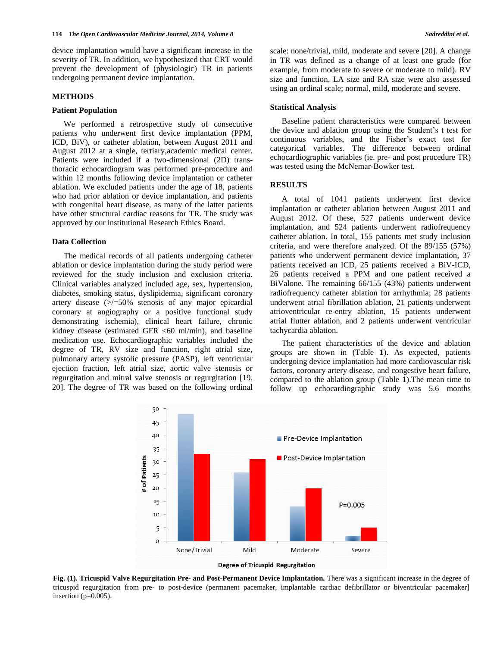device implantation would have a significant increase in the severity of TR. In addition, we hypothesized that CRT would prevent the development of (physiologic) TR in patients undergoing permanent device implantation.

#### **METHODS**

#### **Patient Population**

 We performed a retrospective study of consecutive patients who underwent first device implantation (PPM, ICD, BiV), or catheter ablation, between August 2011 and August 2012 at a single, tertiary,academic medical center. Patients were included if a two-dimensional (2D) transthoracic echocardiogram was performed pre-procedure and within 12 months following device implantation or catheter ablation. We excluded patients under the age of 18, patients who had prior ablation or device implantation, and patients with congenital heart disease, as many of the latter patients have other structural cardiac reasons for TR. The study was approved by our institutional Research Ethics Board.

## **Data Collection**

 The medical records of all patients undergoing catheter ablation or device implantation during the study period were reviewed for the study inclusion and exclusion criteria. Clinical variables analyzed included age, sex, hypertension, diabetes, smoking status, dyslipidemia, significant coronary artery disease (>/=50% stenosis of any major epicardial coronary at angiography or a positive functional study demonstrating ischemia), clinical heart failure, chronic kidney disease (estimated GFR <60 ml/min), and baseline medication use. Echocardiographic variables included the degree of TR, RV size and function, right atrial size, pulmonary artery systolic pressure (PASP), left ventricular ejection fraction, left atrial size, aortic valve stenosis or regurgitation and mitral valve stenosis or regurgitation [19, 20]. The degree of TR was based on the following ordinal scale: none/trivial, mild, moderate and severe [20]. A change in TR was defined as a change of at least one grade (for example, from moderate to severe or moderate to mild). RV size and function, LA size and RA size were also assessed using an ordinal scale; normal, mild, moderate and severe.

#### **Statistical Analysis**

 Baseline patient characteristics were compared between the device and ablation group using the Student's t test for continuous variables, and the Fisher's exact test for categorical variables. The difference between ordinal echocardiographic variables (ie. pre- and post procedure TR) was tested using the McNemar-Bowker test.

#### **RESULTS**

 A total of 1041 patients underwent first device implantation or catheter ablation between August 2011 and August 2012. Of these, 527 patients underwent device implantation, and 524 patients underwent radiofrequency catheter ablation. In total, 155 patients met study inclusion criteria, and were therefore analyzed. Of the 89/155 (57%) patients who underwent permanent device implantation, 37 patients received an ICD, 25 patients received a BiV-ICD, 26 patients received a PPM and one patient received a BiValone. The remaining 66/155 (43%) patients underwent radiofrequency catheter ablation for arrhythmia; 28 patients underwent atrial fibrillation ablation, 21 patients underwent atrioventricular re-entry ablation, 15 patients underwent atrial flutter ablation, and 2 patients underwent ventricular tachycardia ablation.

 The patient characteristics of the device and ablation groups are shown in (Table **1**). As expected, patients undergoing device implantation had more cardiovascular risk factors, coronary artery disease, and congestive heart failure, compared to the ablation group (Table **1**).The mean time to follow up echocardiographic study was 5.6 months



**Fig. (1). Tricuspid Valve Regurgitation Pre- and Post-Permanent Device Implantation.** There was a significant increase in the degree of tricuspid regurgitation from pre- to post-device (permanent pacemaker, implantable cardiac defibrillator or biventricular pacemaker] insertion (p=0.005).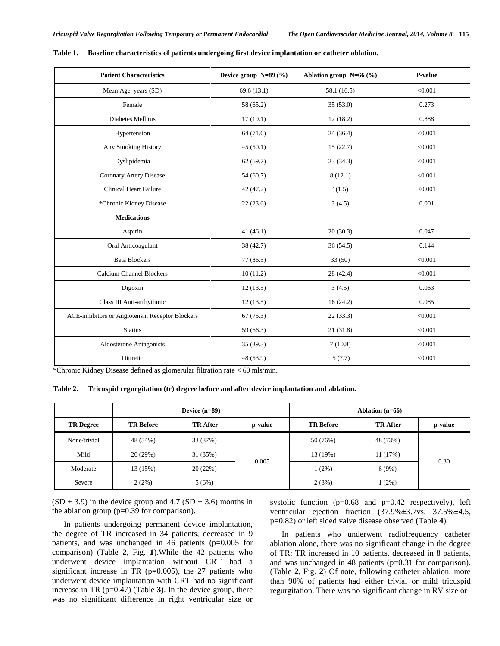| <b>Patient Characteristics</b>                         | Device group $N=89$ (%) | Ablation group $N=66$ (%) | P-value |
|--------------------------------------------------------|-------------------------|---------------------------|---------|
| Mean Age, years (SD)                                   | 69.6(13.1)              | 58.1 (16.5)               | < 0.001 |
| Female                                                 | 58 (65.2)               | 35(53.0)                  | 0.273   |
| Diabetes Mellitus                                      | 17(19.1)                | 12(18.2)                  | 0.888   |
| Hypertension                                           | 64(71.6)                | 24(36.4)                  | < 0.001 |
| Any Smoking History                                    | 45(50.1)                | 15(22.7)                  | < 0.001 |
| Dyslipidemia                                           | 62(69.7)                | 23(34.3)                  | < 0.001 |
| Coronary Artery Disease                                | 54(60.7)                | 8(12.1)                   | < 0.001 |
| <b>Clinical Heart Failure</b>                          | 42(47.2)                | 1(1.5)                    | < 0.001 |
| *Chronic Kidney Disease                                | 22(23.6)                | 3(4.5)                    | 0.001   |
| <b>Medications</b>                                     |                         |                           |         |
| Aspirin                                                | 41(46.1)                | 20(30.3)                  | 0.047   |
| Oral Anticoagulant                                     | 38 (42.7)               | 36(54.5)                  | 0.144   |
| <b>Beta Blockers</b>                                   | 77(86.5)                | 33(50)                    | < 0.001 |
| <b>Calcium Channel Blockers</b>                        | 10(11.2)                | 28 (42.4)                 | < 0.001 |
| Digoxin                                                | 12(13.5)                | 3(4.5)                    | 0.063   |
| Class III Anti-arrhythmic                              | 12(13.5)                | 16(24.2)                  | 0.085   |
| <b>ACE-inhibitors or Angiotensin Receptor Blockers</b> | 67(75.3)                | 22(33.3)                  | < 0.001 |
| <b>Statins</b>                                         | 59 (66.3)               | 21(31.8)                  | < 0.001 |
| <b>Aldosterone Antagonists</b>                         | 35(39.3)                | 7(10.8)                   | < 0.001 |
| Diuretic                                               | 48 (53.9)               | 5(7.7)                    | < 0.001 |

**Table 1. Baseline characteristics of patients undergoing first device implantation or catheter ablation.**

\*Chronic Kidney Disease defined as glomerular filtration rate < 60 mls/min.

**Table 2. Tricuspid regurgitation (tr) degree before and after device implantation and ablation.**

|                  | Device $(n=89)$  |                 |         | Ablation $(n=66)$ |                 |         |
|------------------|------------------|-----------------|---------|-------------------|-----------------|---------|
| <b>TR Degree</b> | <b>TR Before</b> | <b>TR</b> After | p-value | <b>TR Before</b>  | <b>TR</b> After | p-value |
| None/trivial     | 48 (54%)         | 33 (37%)        |         | 50 (76%)          | 48 (73%)        |         |
| Mild             | 26(29%)          | 31 (35%)        |         | 13 (19%)          | 11(17%)         |         |
| Moderate         | 13 (15%)         | 20(22%)         | 0.005   | $1(2\%)$          | 6(9%)           | 0.30    |
| Severe           | 2(2%)            | 5(6%)           |         | 2(3%)             | $(2\%)$         |         |

 $(SD \pm 3.9)$  in the device group and 4.7  $(SD \pm 3.6)$  months in the ablation group (p=0.39 for comparison).

 In patients undergoing permanent device implantation, the degree of TR increased in 34 patients, decreased in 9 patients, and was unchanged in 46 patients (p=0.005 for comparison) (Table **2**, Fig. **1**).While the 42 patients who underwent device implantation without CRT had a significant increase in TR ( $p=0.005$ ), the 27 patients who underwent device implantation with CRT had no significant increase in TR (p=0.47) (Table **3**). In the device group, there was no significant difference in right ventricular size or systolic function (p=0.68 and p=0.42 respectively), left ventricular ejection fraction (37.9%±3.7vs. 37.5%±4.5, p=0.82) or left sided valve disease observed (Table **4**).

 In patients who underwent radiofrequency catheter ablation alone, there was no significant change in the degree of TR: TR increased in 10 patients, decreased in 8 patients, and was unchanged in 48 patients (p=0.31 for comparison). (Table **2**, Fig. **2**) Of note, following catheter ablation, more than 90% of patients had either trivial or mild tricuspid regurgitation. There was no significant change in RV size or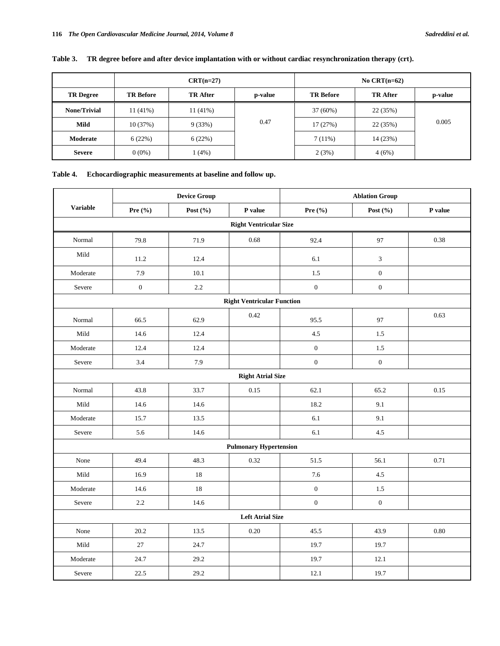|  |  |  | Table 3. TR degree before and after device implantation with or without cardiac resynchronization therapy (crt). |  |
|--|--|--|------------------------------------------------------------------------------------------------------------------|--|
|--|--|--|------------------------------------------------------------------------------------------------------------------|--|

|                     |                  | $CRT(n=27)$     |         |                  | No CRT $(n=62)$ |         |
|---------------------|------------------|-----------------|---------|------------------|-----------------|---------|
| <b>TR Degree</b>    | <b>TR Before</b> | <b>TR</b> After | p-value | <b>TR Before</b> | <b>TR</b> After | p-value |
| <b>None/Trivial</b> | $11(41\%)$       | $11(41\%)$      |         | 37(60%)          | 22 (35%)        |         |
| Mild                | 10(37%)          | 9(33%)          | 0.47    | 17(27%)          | 22(35%)         | 0.005   |
| Moderate            | 6(22%)           | 6(22%)          |         | $7(11\%)$        | 14 (23%)        |         |
| <b>Severe</b>       | $0(0\%)$         | 1(4%)           |         | 2(3%)            | 4(6%)           |         |

## **Table 4. Echocardiographic measurements at baseline and follow up.**

|                 | <b>Device Group</b>           |              |                                   | <b>Ablation Group</b> |                  |         |  |  |  |
|-----------------|-------------------------------|--------------|-----------------------------------|-----------------------|------------------|---------|--|--|--|
| <b>Variable</b> | Pre $(\% )$                   | Post $(\% )$ | P value                           | Pre $(\% )$           | Post $(\% )$     | P value |  |  |  |
|                 | <b>Right Ventricular Size</b> |              |                                   |                       |                  |         |  |  |  |
| Normal          | 79.8                          | 71.9         | 0.68                              | 92.4                  | 97               | 0.38    |  |  |  |
| Mild            | 11.2                          | 12.4         |                                   | 6.1                   | $\mathfrak{Z}$   |         |  |  |  |
| Moderate        | 7.9                           | 10.1         |                                   | 1.5                   | $\boldsymbol{0}$ |         |  |  |  |
| Severe          | $\boldsymbol{0}$              | 2.2          |                                   | $\boldsymbol{0}$      | $\boldsymbol{0}$ |         |  |  |  |
|                 |                               |              | <b>Right Ventricular Function</b> |                       |                  |         |  |  |  |
| Normal          | 66.5                          | 62.9         | 0.42                              | 95.5                  | 97               | 0.63    |  |  |  |
| Mild            | 14.6                          | 12.4         |                                   | 4.5                   | 1.5              |         |  |  |  |
| Moderate        | 12.4                          | 12.4         |                                   | $\boldsymbol{0}$      | 1.5              |         |  |  |  |
| Severe          | 3.4                           | 7.9          |                                   | $\boldsymbol{0}$      | $\boldsymbol{0}$ |         |  |  |  |
|                 |                               |              | <b>Right Atrial Size</b>          |                       |                  |         |  |  |  |
| Normal          | 43.8                          | 33.7         | 0.15                              | 62.1                  | 65.2             | 0.15    |  |  |  |
| Mild            | 14.6                          | 14.6         |                                   | 18.2                  | 9.1              |         |  |  |  |
| Moderate        | 15.7                          | 13.5         |                                   | 6.1                   | 9.1              |         |  |  |  |
| Severe          | 5.6                           | 14.6         |                                   | 6.1                   | 4.5              |         |  |  |  |
|                 |                               |              | <b>Pulmonary Hypertension</b>     |                       |                  |         |  |  |  |
| None            | 49.4                          | 48.3         | 0.32                              | 51.5                  | 56.1             | 0.71    |  |  |  |
| Mild            | 16.9                          | 18           |                                   | 7.6                   | 4.5              |         |  |  |  |
| Moderate        | 14.6                          | 18           |                                   | $\boldsymbol{0}$      | $1.5\,$          |         |  |  |  |
| Severe          | 2.2                           | 14.6         |                                   | $\boldsymbol{0}$      | $\boldsymbol{0}$ |         |  |  |  |
|                 | <b>Left Atrial Size</b>       |              |                                   |                       |                  |         |  |  |  |
| None            | 20.2                          | 13.5         | 0.20                              | 45.5                  | 43.9             | 0.80    |  |  |  |
| Mild            | 27                            | 24.7         |                                   | 19.7                  | 19.7             |         |  |  |  |
| Moderate        | 24.7                          | 29.2         |                                   | 19.7                  | 12.1             |         |  |  |  |
| Severe          | 22.5                          | 29.2         |                                   | 12.1                  | 19.7             |         |  |  |  |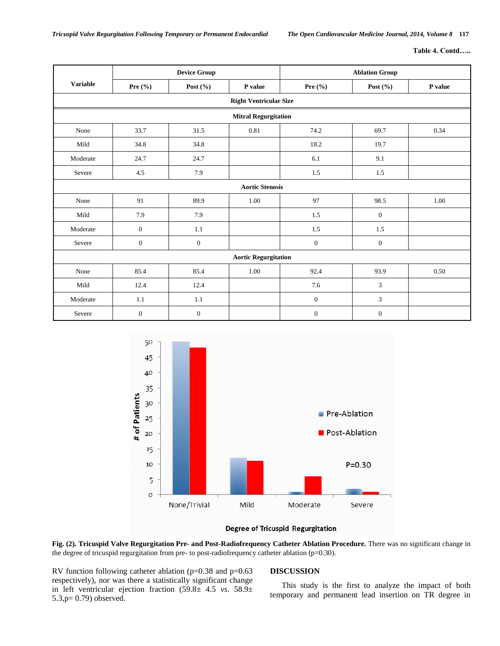|  |  |  |  | <b>Table 4. Contd</b> |  |  |
|--|--|--|--|-----------------------|--|--|
|--|--|--|--|-----------------------|--|--|

|                             |                        | <b>Device Group</b> |                               | <b>Ablation Group</b> |                  |         |  |
|-----------------------------|------------------------|---------------------|-------------------------------|-----------------------|------------------|---------|--|
| <b>Variable</b>             | Pre $(\% )$            | Post $(\% )$        | P value                       | Pre $(\% )$           | Post $(\% )$     | P value |  |
|                             |                        |                     | <b>Right Ventricular Size</b> |                       |                  |         |  |
|                             |                        |                     | <b>Mitral Regurgitation</b>   |                       |                  |         |  |
| None                        | 33.7                   | 31.5                | 0.81                          | 74.2                  | 69.7             | 0.34    |  |
| Mild                        | 34.8                   | 34.8                |                               | 18.2                  | 19.7             |         |  |
| Moderate                    | 24.7                   | 24.7                |                               | 6.1                   | 9.1              |         |  |
| Severe                      | 4.5                    | 7.9                 |                               | 1.5                   | 1.5              |         |  |
|                             | <b>Aortic Stenosis</b> |                     |                               |                       |                  |         |  |
| None                        | 91                     | 89.9                | 1.00                          | 97                    | 98.5             | 1.00    |  |
| Mild                        | 7.9                    | 7.9                 |                               | 1.5                   | $\boldsymbol{0}$ |         |  |
| Moderate                    | $\boldsymbol{0}$       | 1.1                 |                               | 1.5                   | 1.5              |         |  |
| Severe                      | $\boldsymbol{0}$       | $\boldsymbol{0}$    |                               | $\boldsymbol{0}$      | $\boldsymbol{0}$ |         |  |
| <b>Aortic Regurgitation</b> |                        |                     |                               |                       |                  |         |  |
| None                        | 85.4                   | 85.4                | 1.00                          | 92.4                  | 93.9             | 0.50    |  |
| Mild                        | 12.4                   | 12.4                |                               | 7.6                   | 3                |         |  |
| Moderate                    | 1.1                    | 1.1                 |                               | $\boldsymbol{0}$      | 3                |         |  |
| Severe                      | $\mathbf{0}$           | $\mathbf{0}$        |                               | $\overline{0}$        | $\boldsymbol{0}$ |         |  |



## Degree of Tricuspid Regurgitation

**Fig. (2). Tricuspid Valve Regurgitation Pre- and Post-Radiofrequency Catheter Ablation Procedure.** There was no significant change in the degree of tricuspid regurgitation from pre- to post-radiofrequency catheter ablation (p=0.30).

RV function following catheter ablation (p=0.38 and p=0.63 respectively), nor was there a statistically significant change in left ventricular ejection fraction (59.8± 4.5 *vs*. 58.9± 5.3,p= 0.79) observed.

## **DISCUSSION**

 This study is the first to analyze the impact of both temporary and permanent lead insertion on TR degree in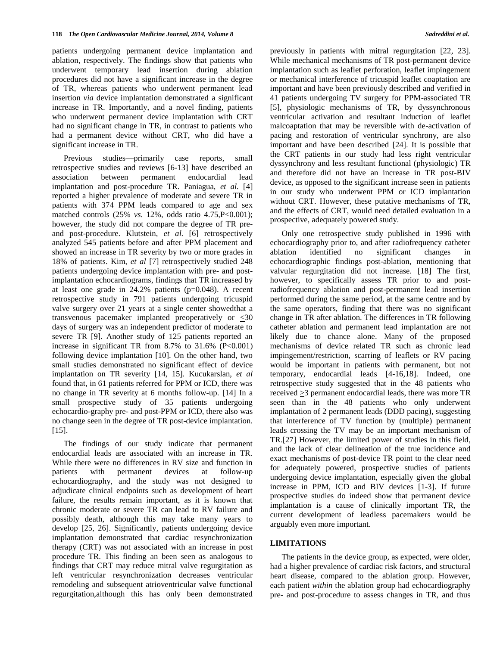patients undergoing permanent device implantation and ablation, respectively. The findings show that patients who underwent temporary lead insertion during ablation procedures did not have a significant increase in the degree of TR, whereas patients who underwent permanent lead insertion *via* device implantation demonstrated a significant increase in TR. Importantly, and a novel finding, patients who underwent permanent device implantation with CRT had no significant change in TR, in contrast to patients who had a permanent device without CRT, who did have a significant increase in TR.

 Previous studies—primarily case reports, small retrospective studies and reviews [6-13] have described an association between permanent endocardial lead implantation and post-procedure TR. Paniagua, *et al.* [4] reported a higher prevalence of moderate and severe TR in patients with 374 PPM leads compared to age and sex matched controls (25% *vs*. 12%, odds ratio 4.75,P<0.001); however, the study did not compare the degree of TR preand post-procedure. Klutstein, *et al.* [6] retrospectively analyzed 545 patients before and after PPM placement and showed an increase in TR severity by two or more grades in 18% of patients. Kim, *et al* [7] retrospectively studied 248 patients undergoing device implantation with pre- and postimplantation echocardiograms, findings that TR increased by at least one grade in  $24.2\%$  patients (p=0.048). A recent retrospective study in 791 patients undergoing tricuspid valve surgery over 21 years at a single center showedthat a transvenous pacemaker implanted preoperatively or  $\leq 30$ days of surgery was an independent predictor of moderate to severe TR [9]. Another study of 125 patients reported an increase in significant TR from  $8.7\%$  to  $31.6\%$  (P<0.001) following device implantation [10]. On the other hand, two small studies demonstrated no significant effect of device implantation on TR severity [14, 15]. Kucukarslan, *et al* found that, in 61 patients referred for PPM or ICD, there was no change in TR severity at 6 months follow-up. [14] In a small prospective study of 35 patients undergoing echocardio-graphy pre- and post-PPM or ICD, there also was no change seen in the degree of TR post-device implantation. [15].

 The findings of our study indicate that permanent endocardial leads are associated with an increase in TR. While there were no differences in RV size and function in patients with permanent devices at follow-up echocardiography, and the study was not designed to adjudicate clinical endpoints such as development of heart failure, the results remain important, as it is known that chronic moderate or severe TR can lead to RV failure and possibly death, although this may take many years to develop [25, 26]. Significantly, patients undergoing device implantation demonstrated that cardiac resynchronization therapy (CRT) was not associated with an increase in post procedure TR. This finding an been seen as analogous to findings that CRT may reduce mitral valve regurgitation as left ventricular resynchronization decreases ventricular remodeling and subsequent atrioventricular valve functional regurgitation,although this has only been demonstrated previously in patients with mitral regurgitation [22, 23]. While mechanical mechanisms of TR post-permanent device implantation such as leaflet perforation, leaflet impingement or mechanical interference of tricuspid leaflet coaptation are important and have been previously described and verified in 41 patients undergoing TV surgery for PPM-associated TR [5], physiologic mechanisms of TR, by dyssynchronous ventricular activation and resultant induction of leaflet malcoaptation that may be reversible with de-activation of pacing and restoration of ventricular synchrony, are also important and have been described [24]. It is possible that the CRT patients in our study had less right ventricular dyssynchrony and less resultant functional (physiologic) TR and therefore did not have an increase in TR post-BIV device, as opposed to the significant increase seen in patients in our study who underwent PPM or ICD implantation without CRT. However, these putative mechanisms of TR, and the effects of CRT, would need detailed evaluation in a prospective, adequately powered study.

 Only one retrospective study published in 1996 with echocardiography prior to, and after radiofrequency catheter ablation identified no significant changes in echocardiographic findings post-ablation, mentioning that valvular regurgitation did not increase. [18] The first, however, to specifically assess TR prior to and postradiofrequency ablation and post-permanent lead insertion performed during the same period, at the same centre and by the same operators, finding that there was no significant change in TR after ablation. The differences in TR following catheter ablation and permanent lead implantation are not likely due to chance alone. Many of the proposed mechanisms of device related TR such as chronic lead impingement/restriction, scarring of leaflets or RV pacing would be important in patients with permanent, but not temporary, endocardial leads [4-16,18]. Indeed, one retrospective study suggested that in the 48 patients who received >3 permanent endocardial leads, there was more TR seen than in the 48 patients who only underwent implantation of 2 permanent leads (DDD pacing), suggesting that interference of TV function by (multiple) permanent leads crossing the TV may be an important mechanism of TR.[27] However, the limited power of studies in this field, and the lack of clear delineation of the true incidence and exact mechanisms of post-device TR point to the clear need for adequately powered, prospective studies of patients undergoing device implantation, especially given the global increase in PPM, ICD and BIV devices [1-3]. If future prospective studies do indeed show that permanent device implantation is a cause of clinically important TR, the current development of leadless pacemakers would be arguably even more important.

## **LIMITATIONS**

 The patients in the device group, as expected, were older, had a higher prevalence of cardiac risk factors, and structural heart disease, compared to the ablation group. However, each patient *within* the ablation group had echocardiography pre- and post-procedure to assess changes in TR, and thus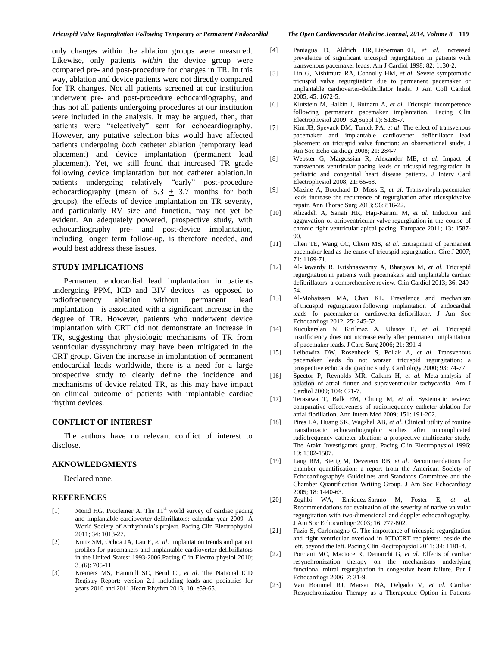only changes within the ablation groups were measured. Likewise, only patients *within* the device group were compared pre- and post-procedure for changes in TR. In this way, ablation and device patients were not directly compared for TR changes. Not all patients screened at our institution underwent pre- and post-procedure echocardiography, and thus not all patients undergoing procedures at our institution were included in the analysis. It may be argued, then, that patients were "selectively" sent for echocardiography. However, any putative selection bias would have affected patients undergoing *both* catheter ablation (temporary lead placement) and device implantation (permanent lead placement). Yet, we still found that increased TR grade following device implantation but not catheter ablation.In patients undergoing relatively "early" post-procedure echocardiography (mean of  $5.3 + 3.7$  months for both groups), the effects of device implantation on TR severity, and particularly RV size and function, may not yet be evident. An adequately powered, prospective study, with echocardiography pre- and post-device implantation, including longer term follow-up, is therefore needed, and would best address these issues.

#### **STUDY IMPLICATIONS**

 Permanent endocardial lead implantation in patients undergoing PPM, ICD and BIV devices—as opposed to radiofrequency ablation without permanent lead implantation—is associated with a significant increase in the degree of TR. However, patients who underwent device implantation with CRT did not demonstrate an increase in TR, suggesting that physiologic mechanisms of TR from ventricular dyssynchrony may have been mitigated in the CRT group. Given the increase in implantation of permanent endocardial leads worldwide, there is a need for a large prospective study to clearly define the incidence and mechanisms of device related TR, as this may have impact on clinical outcome of patients with implantable cardiac rhythm devices.

#### **CONFLICT OF INTEREST**

 The authors have no relevant conflict of interest to disclose.

## **AKNOWLEDGMENTS**

Declared none.

## **REFERENCES**

- [1] Mond HG, Proclemer A. The 11<sup>th</sup> world survey of cardiac pacing and implantable cardioverter-defibrillators: calendar year 2009- A World Society of Arrhythmia's project. Pacing Clin Electrophysiol 2011; 34: 1013-27.
- [2] Kurtz SM, Ochoa JA, Lau E, *et al*. Implantation trends and patient profiles for pacemakers and implantable cardioverter defibrillators in the United States: 1993-2006.Pacing Clin Electro physiol 2010; 33(6): 705-11.
- [3] Kremers MS, Hammill SC, Berul CI, *et al*. The National ICD Registry Report: version 2.1 including leads and pediatrics for years 2010 and 2011.Heart Rhythm 2013; 10: e59-65.
- 
- [4] Paniagua D, Aldrich HR, Lieberman EH, *et al*. Increased prevalence of significant tricuspid regurgitation in patients with transvenous pacemaker leads. Am J Cardiol 1998; 82: 1130-2.
- [5] Lin G, Nishimura RA, Connolly HM, *et al*. Severe symptomatic tricuspid valve regurgitation due to permanent pacemaker or implantable cardioverter-defibrillator leads. J Am Coll Cardiol 2005; 45: 1672-5.
- [6] Klutstein M, Balkin J, Butnaru A, *et al*. Tricuspid incompetence following permanent pacemaker implantation. Pacing Clin Electrophysiol 2009: 32(Suppl 1): S135-7.
- [7] Kim JB, Spevack DM, Tunick PA, *et al*. The effect of transvenous pacemaker and implantable cardioverter defibrillator lead placement on tricuspid valve function: an observational study. J Am Soc Echo cardiogr 2008; 21: 284-7.
- [8] Webster G, Margossian R, Alexander ME, *et al*. Impact of transvenous ventricular pacing leads on tricuspid regurgitation in pediatric and congenital heart disease patients. J Interv Card Electrophysiol 2008; 21: 65-68.
- [9] Mazine A, Bouchard D, Moss E, *et al*. Transvalvularpacemaker leads increase the recurrence of regurgitation after tricuspidvalve repair. Ann Thorac Surg 2013; 96: 816-22.
- [10] Alizadeh A, Sanati HR, Haji-Karimi M, *et al*. Induction and aggravation of atrioventricular valve regurgitation in the course of chronic right ventricular apical pacing. Europace 2011; 13: 1587- 90.
- [11] Chen TE, Wang CC, Chern MS, *et al*. Entrapment of permanent pacemaker lead as the cause of tricuspid regurgitation. Circ J 2007; 71: 1169-71.
- [12] Al-Bawardy R, Krishnaswamy A, Bhargava M, *et al*. Tricuspid regurgitation in patients with pacemakers and implantable cardiac defibrillators: a comprehensive review. Clin Cardiol 2013; 36: 249- 54.
- [13] Al-Mohaissen MA, Chan KL. Prevalence and mechanism of tricuspid regurgitation following implantation of endocardial leads fo pacemaker or cardioverter-defibrillator. J Am Soc Echocardiogr 2012; 25: 245-52.
- [14] Kucukarslan N, Kirilmaz A, Ulusoy E, *et al*. Tricuspid insufficiency does not increase early after permanent implantation of pacemaker leads. J Card Surg 2006; 21: 391-4.
- [15] Leibowitz DW, Rosenheck S, Pollak A, *et al*. Transvenous pacemaker leads do not worsen tricuspid regurgitation: a prospective echocardiographic study. Cardiology 2000; 93: 74-77.
- [16] [Spector P,](http://www.ncbi.nlm.nih.gov/pubmed?term=Spector%20P%5BAuthor%5D&cauthor=true&cauthor_uid=19699343) [Reynolds MR,](http://www.ncbi.nlm.nih.gov/pubmed?term=Reynolds%20MR%5BAuthor%5D&cauthor=true&cauthor_uid=19699343) [Calkins H,](http://www.ncbi.nlm.nih.gov/pubmed?term=Calkins%20H%5BAuthor%5D&cauthor=true&cauthor_uid=19699343) *et al*. Meta-analysis of ablation of atrial flutter and supraventricular tachycardia. Am J Cardiol 2009; 104: 671-7.
- [17] Terasawa T, Balk EM, Chung M, *et al*. Systematic review: comparative effectiveness of radiofrequency catheter ablation for atrial fibrillation. Ann Intern Med 2009; 151: 191-202.
- [18] Pires LA, Huang SK, Wagshal AB, *et al*. Clinical utility of routine transthoracic echocardiographic studies after uncomplicated radiofrequency catheter ablation: a prospective multicenter study. The Atakr Investigators group. Pacing Clin Electrophysiol 1996; 19: 1502-1507.
- [19] Lang RM, Bierig M, Devereux RB, *et al*. [Recommendations for](http://www.ncbi.nlm.nih.gov/pubmed/16376782)  [chamber quantification: a report from the American Society of](http://www.ncbi.nlm.nih.gov/pubmed/16376782)  [Echocardiography's Guidelines and Standards Committee and the](http://www.ncbi.nlm.nih.gov/pubmed/16376782)  [Chamber Quantification Writing Group. J](http://www.ncbi.nlm.nih.gov/pubmed/16376782) Am Soc Echocardiogr 2005; 18: 1440-63.
- [20] Zoghbi WA, Enriquez-Sarano M, Foster E, *et al*. Recommendations for evaluation of the severity of native valvular regurgitation with two-dimensional and doppler echocardiography. J Am Soc Echocardiogr 2003; 16: 777-802.
- [21] Fazio S, Carlomagno G. The importance of tricuspid regurgitation and right ventricular overload in ICD/CRT recipients: beside the left, beyond the left. Pacing Clin Electrophysiol 2011; 34: 1181-4.
- [22] Porciani MC, Macioce R, Demarchi G, *et al*. Effects of cardiac resynchronization therapy on the mechanisms underlying functional mitral regurgitation in congestive heart failure. Eur J Echocardiogr 2006; 7: 31-9.
- [23] Van Bommel RJ, Marsan NA, Delgado V, *et al*. Cardiac Resynchronization Therapy as a Therapeutic Option in Patients